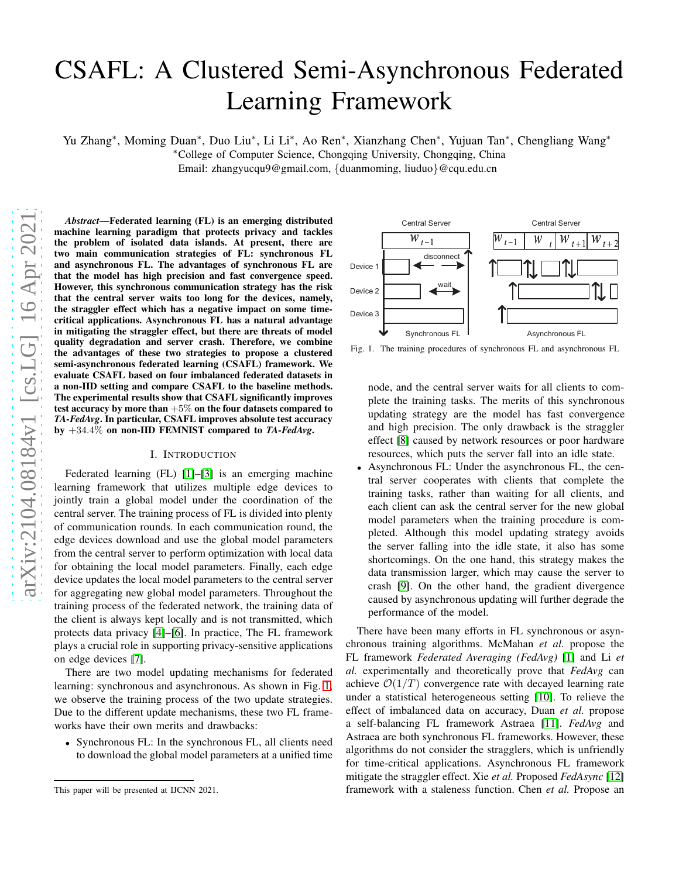# CSAFL: A Clustered Semi-Asynchronous Federated Learning Framework

Yu Zhang<sup>∗</sup> , Moming Duan<sup>∗</sup> , Duo Liu<sup>∗</sup> , Li Li<sup>∗</sup> , Ao Ren<sup>∗</sup> , Xianzhang Chen<sup>∗</sup> , Yujuan Tan<sup>∗</sup> , Chengliang Wang<sup>∗</sup> <sup>∗</sup>College of Computer Science, Chongqing University, Chongqing, China

Email: zhangyucqu9@gmail.com, {duanmoming, liuduo}@cqu.edu.cn

*Abstract*—Federated learning (FL) is an emerging distributed machine learning paradigm that protects privacy and tackles the problem of isolated data islands. At present, there are two main communication strategies of FL: synchronous FL and asynchronous FL. The advantages of synchronous FL are that the model has high precision and fast convergence speed. However, this synchronous communication strategy has the risk that the central server waits too long for the devices, namely, the straggler effect which has a negative impact on some timecritical applications. Asynchronous FL has a natural advantage in mitigating the straggler effect, but there are threats of model quality degradation and server crash. Therefore, we combine the advantages of these two strategies to propose a clustered semi-asynchronous federated learning (CSAFL) framework. We evaluate CSAFL based on four imbalanced federated datasets in a non-IID setting and compare CSAFL to the baseline methods. The experimental results show that CSAFL significantly improves test accuracy by more than  $+5\%$  on the four datasets compared to *TA-FedAvg*. In particular, CSAFL improves absolute test accuracy by +34.4% on non-IID FEMNIST compared to *TA-FedAvg*.

## I. INTRODUCTION

Federated learning (FL) [\[1\]](#page-8-0)–[\[3\]](#page-9-0) is an emerging machine learning framework that utilizes multiple edge devices to jointly train a global model under the coordination of the central server. The training process of FL is divided into plenty of communication rounds. In each communication round, the edge devices download and use the global model parameters from the central server to perform optimization with local data for obtaining the local model parameters. Finally, each edge device updates the local model parameters to the central server for aggregating new global model parameters. Throughout the training process of the federated network, the training data of the client is always kept locally and is not transmitted, which protects data privacy [\[4\]](#page-9-1)–[\[6\]](#page-9-2). In practice, The FL framework plays a crucial role in supporting privacy-sensitive applications on edge devices [\[7\]](#page-9-3).

There are two model updating mechanisms for federated learning: synchronous and asynchronous. As shown in Fig. [1,](#page-0-0) we observe the training process of the two update strategies. Due to the different update mechanisms, these two FL frameworks have their own merits and drawbacks:

• Synchronous FL: In the synchronous FL, all clients need to download the global model parameters at a unified time



<span id="page-0-0"></span>Fig. 1. The training procedures of synchronous FL and asynchronous FL

node, and the central server waits for all clients to complete the training tasks. The merits of this synchronous updating strategy are the model has fast convergence and high precision. The only drawback is the straggler effect [\[8\]](#page-9-4) caused by network resources or poor hardware resources, which puts the server fall into an idle state.

• Asynchronous FL: Under the asynchronous FL, the central server cooperates with clients that complete the training tasks, rather than waiting for all clients, and each client can ask the central server for the new global model parameters when the training procedure is completed. Although this model updating strategy avoids the server falling into the idle state, it also has some shortcomings. On the one hand, this strategy makes the data transmission larger, which may cause the server to crash [\[9\]](#page-9-5). On the other hand, the gradient divergence caused by asynchronous updating will further degrade the performance of the model.

There have been many efforts in FL synchronous or asynchronous training algorithms. McMahan *et al.* propose the FL framework *Federated Averaging (FedAvg)* [\[1\]](#page-8-0) and Li *et al.* experimentally and theoretically prove that *FedAvg* can achieve  $\mathcal{O}(1/T)$  convergence rate with decayed learning rate under a statistical heterogeneous setting [\[10\]](#page-9-6). To relieve the effect of imbalanced data on accuracy, Duan *et al.* propose a self-balancing FL framework Astraea [\[11\]](#page-9-7). *FedAvg* and Astraea are both synchronous FL frameworks. However, these algorithms do not consider the stragglers, which is unfriendly for time-critical applications. Asynchronous FL framework mitigate the straggler effect. Xie *et al.* Proposed *FedAsync* [\[12\]](#page-9-8) framework with a staleness function. Chen *et al.* Propose an

This paper will be presented at IJCNN 2021.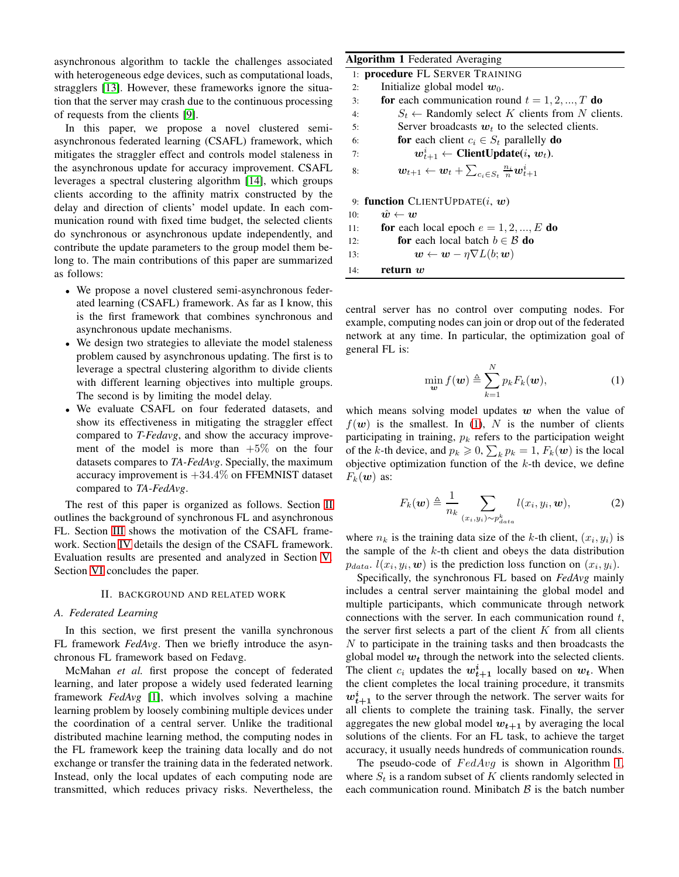asynchronous algorithm to tackle the challenges associated with heterogeneous edge devices, such as computational load stragglers [\[13\]](#page-9-9). However, these frameworks ignore the situation that the server may crash due to the continuous processing of requests from the clients [\[9\]](#page-9-5).

In this paper, we propose a novel clustered sem asynchronous federated learning (CSAFL) framework, which mitigates the straggler effect and controls model staleness in the asynchronous update for accuracy improvement. CSAF leverages a spectral clustering algorithm [\[14\]](#page-9-10), which group clients according to the affinity matrix constructed by the delay and direction of clients' model update. In each communication round with fixed time budget, the selected clients do synchronous or asynchronous update independently, and contribute the update parameters to the group model them belong to. The main contributions of this paper are summarized as follows:

- We propose a novel clustered semi-asynchronous federated learning (CSAFL) framework. As far as I know, this is the first framework that combines synchronous and asynchronous update mechanisms.
- We design two strategies to alleviate the model staleness problem caused by asynchronous updating. The first is to leverage a spectral clustering algorithm to divide clients with different learning objectives into multiple groups. The second is by limiting the model delay.
- We evaluate CSAFL on four federated datasets, and show its effectiveness in mitigating the straggler effect compared to *T-Fedavg*, and show the accuracy improvement of the model is more than  $+5\%$  on the four datasets compares to *TA-FedAvg*. Specially, the maximum accuracy improvement is  $+34.4\%$  on FFEMNIST dataset compared to *TA-FedAvg*.

The rest of this paper is organized as follows. Section [II](#page-1-0) outlines the background of synchronous FL and asynchronous FL. Section [III](#page-2-0) shows the motivation of the CSAFL framework. Section [IV](#page-3-0) details the design of the CSAFL framework. Evaluation results are presented and analyzed in Section [V.](#page-6-0) Section [VI](#page-8-1) concludes the paper.

#### II. BACKGROUND AND RELATED WORK

## <span id="page-1-0"></span>*A. Federated Learning*

In this section, we first present the vanilla synchronous FL framework *FedAvg*. Then we briefly introduce the asynchronous FL framework based on Fedavg.

McMahan *et al.* first propose the concept of federated learning, and later propose a widely used federated learning framework *FedAvg* [\[1\]](#page-8-0), which involves solving a machine learning problem by loosely combining multiple devices under the coordination of a central server. Unlike the traditional distributed machine learning method, the computing nodes in the FL framework keep the training data locally and do not exchange or transfer the training data in the federated network. Instead, only the local updates of each computing node are transmitted, which reduces privacy risks. Nevertheless, the

<span id="page-1-2"></span>

| ьd         |     | <b>Algorithm 1</b> Federated Averaging                                                           |
|------------|-----|--------------------------------------------------------------------------------------------------|
| s,         |     | 1: <b>procedure FL SERVER TRAINING</b>                                                           |
| a-         | 2:  | Initialize global model $w_0$ .                                                                  |
| ıg         | 3:  | for each communication round $t = 1, 2, , T$ do                                                  |
|            | 4:  | $S_t \leftarrow$ Randomly select K clients from N clients.                                       |
| i-         | 5:  | Server broadcasts $w_t$ to the selected clients.                                                 |
| ٠h         | 6:  | for each client $c_i \in S_t$ parallelly do                                                      |
| in         | 7:  | $w_{t+1}^i \leftarrow \text{ClientUpdate}(i, w_t).$                                              |
| L          | 8:  | $\mathbf{w}_{t+1} \leftarrow \mathbf{w}_t + \sum_{c_i \in S_t} \frac{n_i}{n} \mathbf{w}_{t+1}^i$ |
| эs         |     |                                                                                                  |
| ıe         |     | 9: function CLIENTUPDATE $(i, w)$                                                                |
| 1-         | 10: | $\hat{w} \leftarrow w$                                                                           |
| ts         | 11: | for each local epoch $e = 1, 2, , E$ do                                                          |
| ıd         | 12: | <b>for</b> each local batch $b \in \mathcal{B}$ <b>do</b>                                        |
| $e-$<br>e. | 13: | $\mathbf{w} \leftarrow \mathbf{w} - \eta \nabla L(\mathbf{b}; \mathbf{w})$                       |
|            | 14: | return $\boldsymbol{w}$                                                                          |

central server has no control over computing nodes. For example, computing nodes can join or drop out of the federated network at any time. In particular, the optimization goal of general FL is:

<span id="page-1-1"></span>
$$
\min_{\mathbf{w}} f(\mathbf{w}) \triangleq \sum_{k=1}^{N} p_k F_k(\mathbf{w}), \tag{1}
$$

which means solving model updates  $w$  when the value of  $f(\mathbf{w})$  is the smallest. In [\(1\)](#page-1-1), N is the number of clients participating in training,  $p_k$  refers to the participation weight of the k-th device, and  $p_k \ge 0$ ,  $\sum_k p_k = 1$ ,  $F_k(\boldsymbol{w})$  is the local objective optimization function of the  $k$ -th device, we define  $F_k(\boldsymbol{w})$  as:

$$
F_k(\boldsymbol{w}) \triangleq \frac{1}{n_k} \sum_{(x_i, y_i) \sim p_{data}^k} l(x_i, y_i, \boldsymbol{w}), \qquad (2)
$$

where  $n_k$  is the training data size of the k-th client,  $(x_i, y_i)$  is the sample of the  $k$ -th client and obeys the data distribution  $p_{data}$ .  $l(x_i, y_i, \boldsymbol{w})$  is the prediction loss function on  $(x_i, y_i)$ .

Specifically, the synchronous FL based on *FedAvg* mainly includes a central server maintaining the global model and multiple participants, which communicate through network connections with the server. In each communication round  $t$ , the server first selects a part of the client  $K$  from all clients  $N$  to participate in the training tasks and then broadcasts the global model  $w_t$  through the network into the selected clients. The client  $c_i$  updates the  $w_{t+1}^i$  locally based on  $w_t$ . When the client completes the local training procedure, it transmits  $w_{t+1}^i$  to the server through the network. The server waits for all clients to complete the training task. Finally, the server aggregates the new global model  $w_{t+1}$  by averaging the local solutions of the clients. For an FL task, to achieve the target accuracy, it usually needs hundreds of communication rounds.

The pseudo-code of  $FedAvg$  is shown in Algorithm [1,](#page-1-2) where  $S_t$  is a random subset of K clients randomly selected in each communication round. Minibatch  $\beta$  is the batch number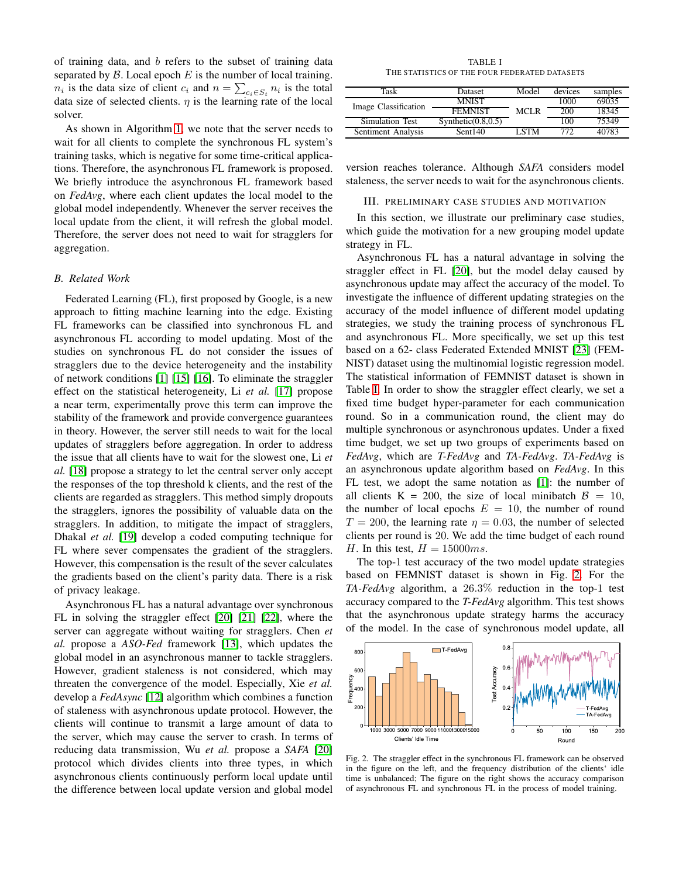of training data, and b refers to the subset of training data separated by  $\beta$ . Local epoch  $E$  is the number of local training.  $n_i$  is the data size of client  $c_i$  and  $n = \sum_{c_i \in S_t} n_i$  is the total data size of selected clients.  $\eta$  is the learning rate of the local solver.

As shown in Algorithm [1,](#page-1-2) we note that the server needs to wait for all clients to complete the synchronous FL system's training tasks, which is negative for some time-critical applications. Therefore, the asynchronous FL framework is proposed. We briefly introduce the asynchronous FL framework based on *FedAvg*, where each client updates the local model to the global model independently. Whenever the server receives the local update from the client, it will refresh the global model. Therefore, the server does not need to wait for stragglers for aggregation.

## *B. Related Work*

Federated Learning (FL), first proposed by Google, is a new approach to fitting machine learning into the edge. Existing FL frameworks can be classified into synchronous FL and asynchronous FL according to model updating. Most of the studies on synchronous FL do not consider the issues of stragglers due to the device heterogeneity and the instability of network conditions [\[1\]](#page-8-0) [\[15\]](#page-9-11) [\[16\]](#page-9-12). To eliminate the straggler effect on the statistical heterogeneity, Li *et al.* [\[17\]](#page-9-13) propose a near term, experimentally prove this term can improve the stability of the framework and provide convergence guarantees in theory. However, the server still needs to wait for the local updates of stragglers before aggregation. In order to address the issue that all clients have to wait for the slowest one, Li *et al.* [\[18\]](#page-9-14) propose a strategy to let the central server only accept the responses of the top threshold k clients, and the rest of the clients are regarded as stragglers. This method simply dropouts the stragglers, ignores the possibility of valuable data on the stragglers. In addition, to mitigate the impact of stragglers, Dhakal *et al.* [\[19\]](#page-9-15) develop a coded computing technique for FL where sever compensates the gradient of the stragglers. However, this compensation is the result of the sever calculates the gradients based on the client's parity data. There is a risk of privacy leakage.

Asynchronous FL has a natural advantage over synchronous FL in solving the straggler effect [\[20\]](#page-9-16) [\[21\]](#page-9-17) [\[22\]](#page-9-18), where the server can aggregate without waiting for stragglers. Chen *et al.* propose a *ASO-Fed* framework [\[13\]](#page-9-9), which updates the global model in an asynchronous manner to tackle stragglers. However, gradient staleness is not considered, which may threaten the convergence of the model. Especially, Xie *et al.* develop a *FedAsync* [\[12\]](#page-9-8) algorithm which combines a function of staleness with asynchronous update protocol. However, the clients will continue to transmit a large amount of data to the server, which may cause the server to crash. In terms of reducing data transmission, Wu *et al.* propose a *SAFA* [\[20\]](#page-9-16) protocol which divides clients into three types, in which asynchronous clients continuously perform local update until the difference between local update version and global model

TABLE I THE STATISTICS OF THE FOUR FEDERATED DATASETS

<span id="page-2-1"></span>

| Task                 | Dataset                | Model       | devices | samples |
|----------------------|------------------------|-------------|---------|---------|
| Image Classification | <b>MNIST</b>           |             | 1000    | 69035   |
|                      | <b>FEMNIST</b>         | <b>MCLR</b> | 200     | 18345   |
| Simulation Test      | Synthetic $(0.8, 0.5)$ |             | 100     | 75349   |
| Sentiment Analysis   | Sent140                | <b>LSTM</b> | 772     | 40783   |

<span id="page-2-0"></span>version reaches tolerance. Although *SAFA* considers model staleness, the server needs to wait for the asynchronous clients.

## III. PRELIMINARY CASE STUDIES AND MOTIVATION

In this section, we illustrate our preliminary case studies, which guide the motivation for a new grouping model update strategy in FL.

Asynchronous FL has a natural advantage in solving the straggler effect in FL [\[20\]](#page-9-16), but the model delay caused by asynchronous update may affect the accuracy of the model. To investigate the influence of different updating strategies on the accuracy of the model influence of different model updating strategies, we study the training process of synchronous FL and asynchronous FL. More specifically, we set up this test based on a 62- class Federated Extended MNIST [\[23\]](#page-9-19) (FEM-NIST) dataset using the multinomial logistic regression model. The statistical information of FEMNIST dataset is shown in Table [I.](#page-2-1) In order to show the straggler effect clearly, we set a fixed time budget hyper-parameter for each communication round. So in a communication round, the client may do multiple synchronous or asynchronous updates. Under a fixed time budget, we set up two groups of experiments based on *FedAvg*, which are *T-FedAvg* and *TA-FedAvg*. *TA-FedAvg* is an asynchronous update algorithm based on *FedAvg*. In this FL test, we adopt the same notation as [\[1\]](#page-8-0): the number of all clients K = 200, the size of local minibatch  $\beta = 10$ , the number of local epochs  $E = 10$ , the number of round  $T = 200$ , the learning rate  $\eta = 0.03$ , the number of selected clients per round is 20. We add the time budget of each round H. In this test,  $H = 15000ms$ .

The top-1 test accuracy of the two model update strategies based on FEMNIST dataset is shown in Fig. [2.](#page-2-2) For the *TA-FedAvg* algorithm, a 26.3% reduction in the top-1 test accuracy compared to the *T-FedAvg* algorithm. This test shows that the asynchronous update strategy harms the accuracy of the model. In the case of synchronous model update, all



<span id="page-2-2"></span>Fig. 2. The straggler effect in the synchronous FL framework can be observed in the figure on the left, and the frequency distribution of the clients' idle time is unbalanced; The figure on the right shows the accuracy comparison of asynchronous FL and synchronous FL in the process of model training.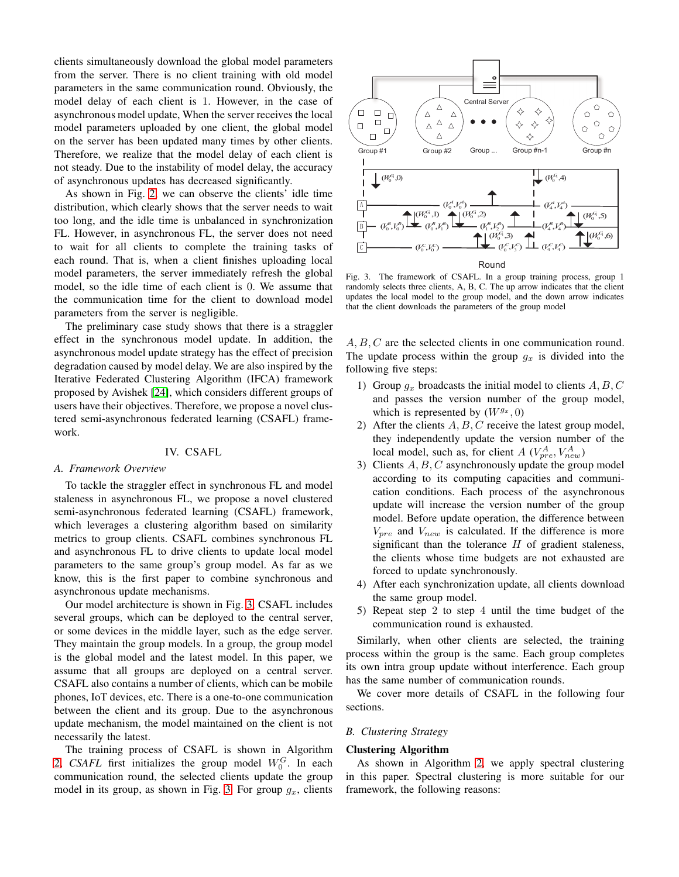clients simultaneously download the global model parameters from the server. There is no client training with old model parameters in the same communication round. Obviously, the model delay of each client is 1. However, in the case of asynchronous model update, When the server receives the local model parameters uploaded by one client, the global model on the server has been updated many times by other clients. Therefore, we realize that the model delay of each client is not steady. Due to the instability of model delay, the accuracy of asynchronous updates has decreased significantly.

As shown in Fig. [2,](#page-2-2) we can observe the clients' idle time distribution, which clearly shows that the server needs to wait too long, and the idle time is unbalanced in synchronization FL. However, in asynchronous FL, the server does not need to wait for all clients to complete the training tasks of each round. That is, when a client finishes uploading local model parameters, the server immediately refresh the global model, so the idle time of each client is 0. We assume that the communication time for the client to download model parameters from the server is negligible.

The preliminary case study shows that there is a straggler effect in the synchronous model update. In addition, the asynchronous model update strategy has the effect of precision degradation caused by model delay. We are also inspired by the Iterative Federated Clustering Algorithm (IFCA) framework proposed by Avishek [\[24\]](#page-9-20), which considers different groups of users have their objectives. Therefore, we propose a novel clustered semi-asynchronous federated learning (CSAFL) framework.

## IV. CSAFL

#### <span id="page-3-0"></span>*A. Framework Overview*

To tackle the straggler effect in synchronous FL and model staleness in asynchronous FL, we propose a novel clustered semi-asynchronous federated learning (CSAFL) framework, which leverages a clustering algorithm based on similarity metrics to group clients. CSAFL combines synchronous FL and asynchronous FL to drive clients to update local model parameters to the same group's group model. As far as we know, this is the first paper to combine synchronous and asynchronous update mechanisms.

Our model architecture is shown in Fig. [3,](#page-3-1) CSAFL includes several groups, which can be deployed to the central server, or some devices in the middle layer, such as the edge server. They maintain the group models. In a group, the group model is the global model and the latest model. In this paper, we assume that all groups are deployed on a central server. CSAFL also contains a number of clients, which can be mobile phones, IoT devices, etc. There is a one-to-one communication between the client and its group. Due to the asynchronous update mechanism, the model maintained on the client is not necessarily the latest.

The training process of CSAFL is shown in Algorithm [2,](#page-4-0) *CSAFL* first initializes the group model  $W_0^G$ . In each communication round, the selected clients update the group model in its group, as shown in Fig. [3.](#page-3-1) For group  $g_x$ , clients



<span id="page-3-1"></span>Fig. 3. The framework of CSAFL. In a group training process, group 1 randomly selects three clients, A, B, C. The up arrow indicates that the client updates the local model to the group model, and the down arrow indicates that the client downloads the parameters of the group model

A, B, C are the selected clients in one communication round. The update process within the group  $g_x$  is divided into the following five steps:

- 1) Group  $q_x$  broadcasts the initial model to clients  $A, B, C$ and passes the version number of the group model, which is represented by  $(W^{g_x}, 0)$
- 2) After the clients  $A, B, C$  receive the latest group model, they independently update the version number of the local model, such as, for client A  $(V_{pre}^{A}, V_{new}^{A})$
- 3) Clients  $A, B, C$  asynchronously update the group model according to its computing capacities and communication conditions. Each process of the asynchronous update will increase the version number of the group model. Before update operation, the difference between  $V_{pre}$  and  $V_{new}$  is calculated. If the difference is more significant than the tolerance  $H$  of gradient staleness, the clients whose time budgets are not exhausted are forced to update synchronously.
- 4) After each synchronization update, all clients download the same group model.
- 5) Repeat step 2 to step 4 until the time budget of the communication round is exhausted.

Similarly, when other clients are selected, the training process within the group is the same. Each group completes its own intra group update without interference. Each group has the same number of communication rounds.

We cover more details of CSAFL in the following four sections.

# *B. Clustering Strategy*

#### Clustering Algorithm

As shown in Algorithm [2,](#page-4-0) we apply spectral clustering in this paper. Spectral clustering is more suitable for our framework, the following reasons: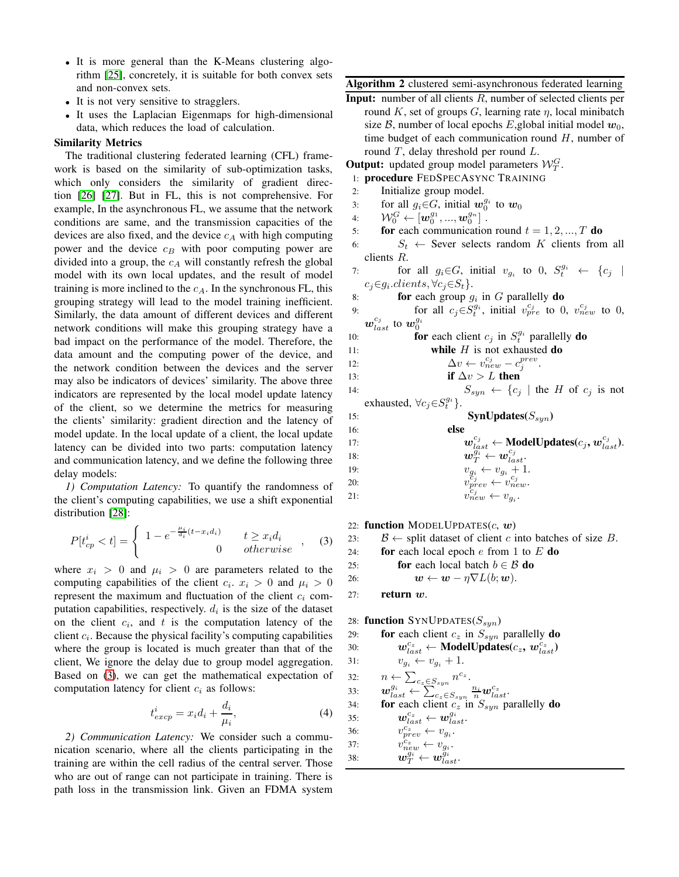- It is more general than the K-Means clustering algorithm [\[25\]](#page-9-21), concretely, it is suitable for both convex sets and non-convex sets.
- It is not very sensitive to stragglers.
- It uses the Laplacian Eigenmaps for high-dimensional data, which reduces the load of calculation.

# Similarity Metrics

The traditional clustering federated learning (CFL) framework is based on the similarity of sub-optimization tasks, which only considers the similarity of gradient direction [\[26\]](#page-9-22) [\[27\]](#page-9-23). But in FL, this is not comprehensive. For example, In the asynchronous FL, we assume that the network conditions are same, and the transmission capacities of the devices are also fixed, and the device  $c_A$  with high computing power and the device  $c_B$  with poor computing power are divided into a group, the  $c_A$  will constantly refresh the global model with its own local updates, and the result of model training is more inclined to the  $c_A$ . In the synchronous FL, this grouping strategy will lead to the model training inefficient. Similarly, the data amount of different devices and different network conditions will make this grouping strategy have a bad impact on the performance of the model. Therefore, the data amount and the computing power of the device, and the network condition between the devices and the server may also be indicators of devices' similarity. The above three indicators are represented by the local model update latency of the client, so we determine the metrics for measuring the clients' similarity: gradient direction and the latency of model update. In the local update of a client, the local update latency can be divided into two parts: computation latency and communication latency, and we define the following three delay models:

*1) Computation Latency:* To quantify the randomness of the client's computing capabilities, we use a shift exponential distribution [\[28\]](#page-9-24):

<span id="page-4-1"></span>
$$
P[t_{cp}^i < t] = \begin{cases} 1 - e^{-\frac{\mu_i}{d_i}(t - x_i d_i)} & t \ge x_i d_i \\ 0 & \text{otherwise} \end{cases} \tag{3}
$$

where  $x_i > 0$  and  $\mu_i > 0$  are parameters related to the computing capabilities of the client  $c_i$ .  $x_i > 0$  and  $\mu_i > 0$ represent the maximum and fluctuation of the client  $c_i$  computation capabilities, respectively.  $d_i$  is the size of the dataset on the client  $c_i$ , and  $t$  is the computation latency of the client  $c_i$ . Because the physical facility's computing capabilities where the group is located is much greater than that of the client, We ignore the delay due to group model aggregation. Based on [\(3\)](#page-4-1), we can get the mathematical expectation of computation latency for client  $c_i$  as follows:

$$
t_{excp}^i = x_i d_i + \frac{d_i}{\mu_i},\tag{4}
$$

*2) Communication Latency:* We consider such a communication scenario, where all the clients participating in the training are within the cell radius of the central server. Those who are out of range can not participate in training. There is path loss in the transmission link. Given an FDMA system <span id="page-4-0"></span>Algorithm 2 clustered semi-asynchronous federated learning

Input: number of all clients R, number of selected clients per round K, set of groups G, learning rate  $\eta$ , local minibatch size B, number of local epochs E, global initial model  $w_0$ , time budget of each communication round  $H$ , number of round  $T$ , delay threshold per round  $L$ .

**Output:** updated group model parameters  $\mathcal{W}_T^G$ .

- 1: procedure FEDSPECASYNC TRAINING
- 2: Initialize group model.
- 3: for all  $g_i \in G$ , initial  $w_0^{g_i}$  to  $w_0$
- 4:  $\qquad \mathcal{W}_0^G \leftarrow \left[\boldsymbol{w}_0^{g_1},...,\boldsymbol{w}_0^{g_n}\right]$  .
- 5: **for** each communication round  $t = 1, 2, ..., T$  do
- 6:  $S_t \leftarrow$  Sever selects random K clients from all clients R.
- 7: for all  $g_i \in G$ , initial  $v_{g_i}$  to 0,  $S_t^{g_i} \leftarrow \{c_j \mid$  $c_j \in g_i$ .clients,  $\forall c_j \in S_t$ .
- 8: **for** each group  $g_i$  in G parallelly **do**
- 9: for all  $c_j \in S_t^{g_i}$ , initial  $v_{pre}^{c_j}$  to 0,  $v_{new}^{c_j}$  to 0,  $\boldsymbol{w}_{last}^{c_j}$  to  $\boldsymbol{w}_{0}^{g_i}$

10: **for each client** 
$$
c_j
$$
 in  $S_t^{g_i}$  parallelly **do**

11: **while** 
$$
H
$$
 is not exhausted do

12:  $\Delta v \leftarrow v_{new}^{c_j} - c_j^{prev}.$ 

13: if 
$$
\Delta v > L
$$
 then

14:  $S_{syn} \leftarrow \{c_j \mid \text{the } H \text{ of } c_j \text{ is not} \}$ 

```
exhausted, \forall c_j \in S_t^{g_i}.
```

| 15: | $SynUpdate(S_{syn})$ |  |
|-----|----------------------|--|
|     |                      |  |

| 16: | else                                                                |
|-----|---------------------------------------------------------------------|
| 17: | $w_{last}^{c_j} \leftarrow$ Model Updates $(c_j, w_{last}^{c_j})$ . |
| 18: | $\boldsymbol{w}_{T}^{g_i} \leftarrow \boldsymbol{w}_{last}^{c_j}.$  |
| 19: | $v_{g_i} \leftarrow v_{g_i} + 1.$                                   |
| 20: | $v_{prev}^{c_j} \leftarrow v_{new}^{c_j}$ .                         |
| 21: | $v_{new}^{c_j} \leftarrow v_{g_i}.$                                 |

22: function MODELUPDATES $(c, w)$ 

```
23: B \leftarrow split dataset of client c into batches of size B.
```
24: **for** each local epoch  $e$  from 1 to  $E$  **do** 

25: **for** each local batch 
$$
b \in \mathcal{B}
$$
 **do**

26: 
$$
\mathbf{w} \leftarrow \mathbf{w} - \eta \nabla L(b; \mathbf{w}).
$$

27: return w.

28: function SYNUPDATES( $S_{syn}$ )  $225$  for each client c in  $S_{\text{S}}$  parallelly do

\n- \n**19.1 10.2 10.3 11.3 10.4 11.4 12.5 13.5 14.5 15.5 16.5 17.5 18.5 19.5 10.5 10.5 11.5 11.5** 
$$
v_{gi} \leftarrow v_{gi} + 1
$$
 **11.5**  $v_{gi} \leftarrow v_{gi} + 1$  **12.5**  $v_{last}^{\mathcal{G}_i} \leftarrow \sum_{c_z \in S_{syn}} \frac{n_i}{n} w_{last}^{c_z}$  **13.5 14.5 15.5 16.5 17.5 18.5 19.5 10.5 10.5 11.5 11.5 12.5 13.5 14.5 15.5 16.5 17.5 18.5 19.5 19.5 10.5 10.5 11.5 12.5 13.5 14.5 15.5 16.5 17.5 17.5 18.5 19.5 19.5 19.5 19.5 19.5 19.5 19.5 19.5 19.5 19.5 19.5 19.5 19.5 19.5 19.5 1**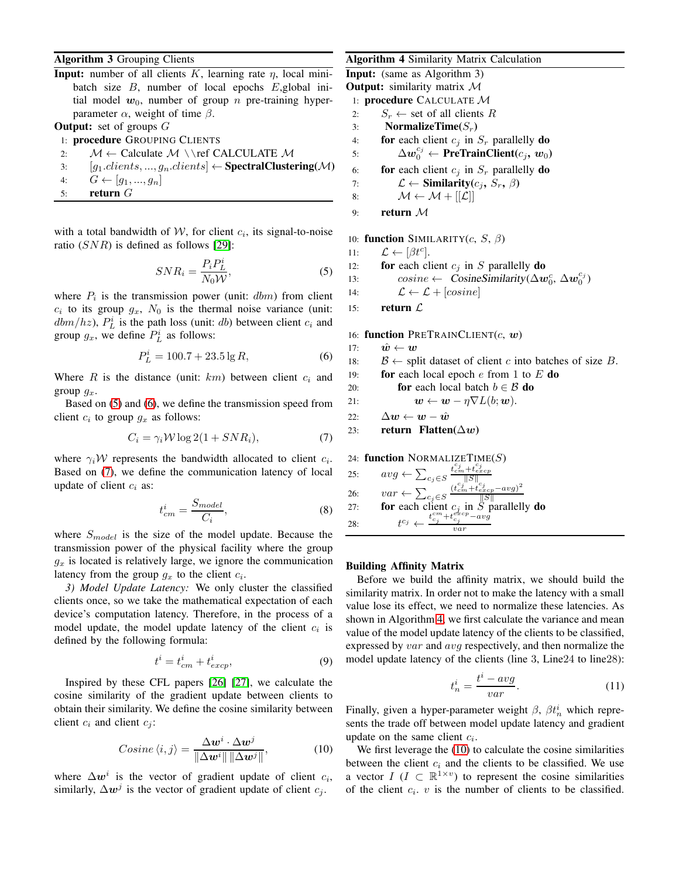# Algorithm 3 Grouping Clients

**Input:** number of all clients K, learning rate  $\eta$ , local minibatch size B, number of local epochs E,global initial model  $w_0$ , number of group n pre-training hyperparameter  $\alpha$ , weight of time  $\beta$ .

# **Output:** set of groups  $G$

1: procedure GROUPING CLIENTS

- 2:  $M \leftarrow$  Calculate  $M \setminus \ref$  CALCULATE M
- 3:  $[g_1$ .clients, ...,  $g_n$ .clients]  $\leftarrow$  **SpectralClustering**(M)
- 4:  $G \leftarrow [g_1, ..., g_n]$
- 5: return G

with a total bandwidth of  $W$ , for client  $c_i$ , its signal-to-noise ratio  $(SNR)$  is defined as follows [\[29\]](#page-9-25):

<span id="page-5-0"></span>
$$
SNR_i = \frac{P_i P_L^i}{N_0 W},\tag{5}
$$

where  $P_i$  is the transmission power (unit:  $dbm$ ) from client  $c_i$  to its group  $g_x$ ,  $N_0$  is the thermal noise variance (unit:  $dbm/hz$ ,  $P<sub>L</sub><sup>i</sup>$  is the path loss (unit: db) between client  $c<sub>i</sub>$  and group  $g_x$ , we define  $P^i_L$  as follows:

<span id="page-5-1"></span>
$$
P_L^i = 100.7 + 23.5 \lg R,\tag{6}
$$

Where  $R$  is the distance (unit:  $km$ ) between client  $c_i$  and group  $q_x$ .

Based on [\(5\)](#page-5-0) and [\(6\)](#page-5-1), we define the transmission speed from client  $c_i$  to group  $g_x$  as follows:

<span id="page-5-2"></span>
$$
C_i = \gamma_i \mathcal{W} \log 2(1 + SNR_i),\tag{7}
$$

where  $\gamma_i \mathcal{W}$  represents the bandwidth allocated to client  $c_i$ . Based on [\(7\)](#page-5-2), we define the communication latency of local update of client  $c_i$  as:

$$
t_{cm}^i = \frac{S_{model}}{C_i},\tag{8}
$$

where  $S_{model}$  is the size of the model update. Because the transmission power of the physical facility where the group  $g_x$  is located is relatively large, we ignore the communication latency from the group  $g_x$  to the client  $c_i$ .

*3) Model Update Latency:* We only cluster the classified clients once, so we take the mathematical expectation of each device's computation latency. Therefore, in the process of a model update, the model update latency of the client  $c_i$  is defined by the following formula:

$$
t^i = t_{cm}^i + t_{excp}^i,\t\t(9)
$$

Inspired by these CFL papers [\[26\]](#page-9-22) [\[27\]](#page-9-23), we calculate the cosine similarity of the gradient update between clients to obtain their similarity. We define the cosine similarity between client  $c_i$  and client  $c_j$ :

<span id="page-5-4"></span>
$$
Cosine \langle i, j \rangle = \frac{\Delta \mathbf{w}^i \cdot \Delta \mathbf{w}^j}{\|\Delta \mathbf{w}^i\| \|\Delta \mathbf{w}^j\|},\tag{10}
$$

where  $\Delta w^i$  is the vector of gradient update of client  $c_i$ , similarly,  $\Delta w^j$  is the vector of gradient update of client  $c_j$ .

## <span id="page-5-3"></span>Algorithm 4 Similarity Matrix Calculation

Input: (same as Algorithm 3)

- **Output:** similarity matrix  $\mathcal M$
- 1: procedure CALCULATE M
- 2:  $S_r \leftarrow$  set of all clients R
- 3: NormalizeTime( $S_r$ )
- 4: **for** each client  $c_j$  in  $S_r$  parallelly **do**
- 5:  $\Delta w_0^{c_j} \leftarrow \textbf{PreTrainClient}(c_j, w_0)$

6: **for** each client  $c_j$  in  $S_r$  parallelly **do** 

7: 
$$
\mathcal{L} \leftarrow \textbf{Similarity}(c_j, S_r, \beta)
$$

- 8:  $\mathcal{M} \leftarrow \mathcal{M} + [[\mathcal{L}]]$
- 9: return M

10: function SIMILARITY $(c, S, \beta)$ 

- 11:  $\mathcal{L} \leftarrow [\beta t^c].$
- 12: **for** each client  $c_j$  in S parallelly **do**

13: 
$$
cosine \leftarrow \text{CosineSimilarity}(\Delta w_0^c, \Delta w_0^{c_j})
$$

14:  $\mathcal{L} \leftarrow \mathcal{L} + [cosine]$ 

15: return  $\mathcal{L}$ 

16: function PRETRAINCLIENT $(c, w)$ 

17:  $\hat{\boldsymbol{w}} \leftarrow \boldsymbol{w}$ 18:  $B \leftarrow$  split dataset of client c into batches of size B. 19: **for** each local epoch  $e$  from 1 to  $E$  **do** 20: **for** each local batch  $b \in \mathcal{B}$  **do** 21:  $\mathbf{w} \leftarrow \mathbf{w} - \eta \nabla L(b; \mathbf{w}).$ 22:  $\Delta w \leftarrow w - \hat{w}$ 23: return Flatten( $\Delta w$ )

24: function NORMALIZETIME $(S)$ 

| 25: | $\textit{avg} \gets \sum_{c_j \in S} \frac{t^{c_j}_{cm} + t^{c_j}_{excp}}{  S  }$                                                                                                                                                                               |
|-----|-----------------------------------------------------------------------------------------------------------------------------------------------------------------------------------------------------------------------------------------------------------------|
| 26: |                                                                                                                                                                                                                                                                 |
| 27: |                                                                                                                                                                                                                                                                 |
| 28: | $var \leftarrow \sum_{c_j \in S} \frac{(t_{cm}^{e_j  S  }c_j}{  S  } \textbf{for each client } c_j \textbf{ in } S \textbf{ parallelly } \textbf{do}$<br>$t^{c_j} \leftarrow \frac{t_{cm}^{cm} + t_{cyc}^{eyc} - avg}{t_{cj}^{cm} + t_{cj}^{eyc} - avg}$<br>var |

# Building Affinity Matrix

Before we build the affinity matrix, we should build the similarity matrix. In order not to make the latency with a small value lose its effect, we need to normalize these latencies. As shown in Algorithm [4,](#page-5-3) we first calculate the variance and mean value of the model update latency of the clients to be classified, expressed by  $var$  and  $avg$  respectively, and then normalize the model update latency of the clients (line 3, Line24 to line28):

$$
t_n^i = \frac{t^i - avg}{var}.\tag{11}
$$

Finally, given a hyper-parameter weight  $\beta$ ,  $\beta t_n^i$  which represents the trade off between model update latency and gradient update on the same client  $c_i$ .

We first leverage the [\(10\)](#page-5-4) to calculate the cosine similarities between the client  $c_i$  and the clients to be classified. We use a vector  $I (I \subset \mathbb{R}^{1 \times v})$  to represent the cosine similarities of the client  $c_i$ .  $v$  is the number of clients to be classified.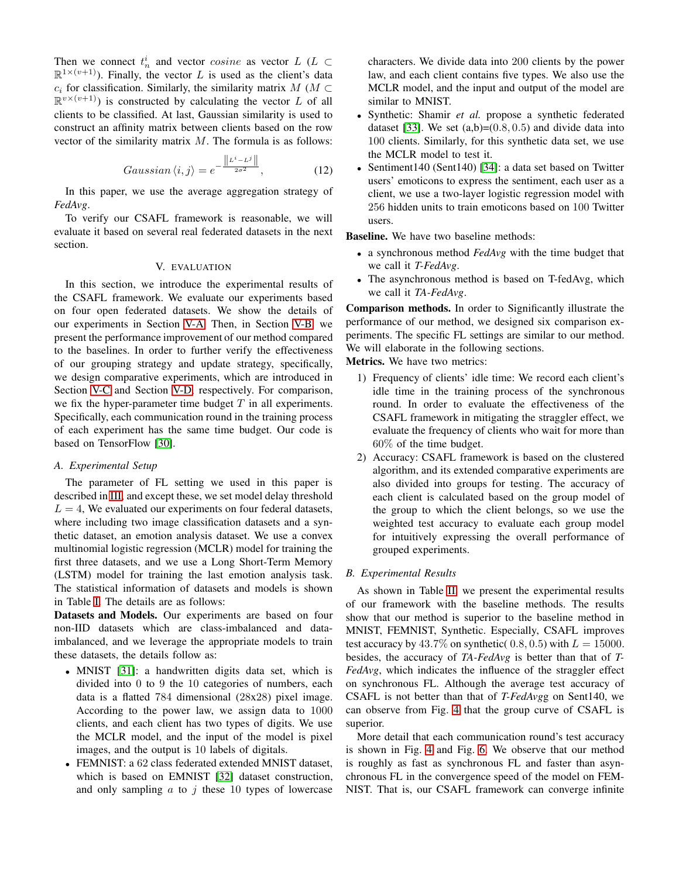Then we connect  $t_n^i$  and vector *cosine* as vector  $L$  ( $L \subset$  $\mathbb{R}^{1 \times (v+1)}$ ). Finally, the vector L is used as the client's data  $c_i$  for classification. Similarly, the similarity matrix  $M$  ( $M \subset$  $\mathbb{R}^{v \times (v+1)}$ ) is constructed by calculating the vector L of all clients to be classified. At last, Gaussian similarity is used to construct an affinity matrix between clients based on the row vector of the similarity matrix  $M$ . The formula is as follows:

$$
Gaussian \langle i, j \rangle = e^{-\frac{\left\| L^{i} - L^{j} \right\|}{2\sigma^{2}}}, \tag{12}
$$

In this paper, we use the average aggregation strategy of *FedAvg*.

To verify our CSAFL framework is reasonable, we will evaluate it based on several real federated datasets in the next section.

## V. EVALUATION

<span id="page-6-0"></span>In this section, we introduce the experimental results of the CSAFL framework. We evaluate our experiments based on four open federated datasets. We show the details of our experiments in Section [V-A.](#page-6-1) Then, in Section [V-B,](#page-6-2) we present the performance improvement of our method compared to the baselines. In order to further verify the effectiveness of our grouping strategy and update strategy, specifically, we design comparative experiments, which are introduced in Section [V-C](#page-7-0) and Section [V-D,](#page-7-1) respectively. For comparison, we fix the hyper-parameter time budget  $T$  in all experiments. Specifically, each communication round in the training process of each experiment has the same time budget. Our code is based on TensorFlow [\[30\]](#page-9-26).

#### <span id="page-6-1"></span>*A. Experimental Setup*

The parameter of FL setting we used in this paper is described in [III,](#page-2-0) and except these, we set model delay threshold  $L = 4$ , We evaluated our experiments on four federal datasets, where including two image classification datasets and a synthetic dataset, an emotion analysis dataset. We use a convex multinomial logistic regression (MCLR) model for training the first three datasets, and we use a Long Short-Term Memory (LSTM) model for training the last emotion analysis task. The statistical information of datasets and models is shown in Table [I.](#page-2-1) The details are as follows:

Datasets and Models. Our experiments are based on four non-IID datasets which are class-imbalanced and dataimbalanced, and we leverage the appropriate models to train these datasets, the details follow as:

- MNIST [\[31\]](#page-9-27): a handwritten digits data set, which is divided into 0 to 9 the 10 categories of numbers, each data is a flatted 784 dimensional (28x28) pixel image. According to the power law, we assign data to 1000 clients, and each client has two types of digits. We use the MCLR model, and the input of the model is pixel images, and the output is 10 labels of digitals.
- FEMNIST: a 62 class federated extended MNIST dataset, which is based on EMNIST [\[32\]](#page-9-28) dataset construction, and only sampling  $a$  to  $j$  these 10 types of lowercase

characters. We divide data into 200 clients by the power law, and each client contains five types. We also use the MCLR model, and the input and output of the model are similar to MNIST.

- Synthetic: Shamir *et al.* propose a synthetic federated dataset [\[33\]](#page-9-29). We set  $(a,b)=(0.8, 0.5)$  and divide data into 100 clients. Similarly, for this synthetic data set, we use the MCLR model to test it.
- Sentiment140 (Sent140) [\[34\]](#page-9-30): a data set based on Twitter users' emoticons to express the sentiment, each user as a client, we use a two-layer logistic regression model with 256 hidden units to train emoticons based on 100 Twitter users.

Baseline. We have two baseline methods:

- a synchronous method *FedAvg* with the time budget that we call it *T-FedAvg*.
- The asynchronous method is based on T-fedAvg, which we call it *TA-FedAvg*.

Comparison methods. In order to Significantly illustrate the performance of our method, we designed six comparison experiments. The specific FL settings are similar to our method. We will elaborate in the following sections.

Metrics. We have two metrics:

- 1) Frequency of clients' idle time: We record each client's idle time in the training process of the synchronous round. In order to evaluate the effectiveness of the CSAFL framework in mitigating the straggler effect, we evaluate the frequency of clients who wait for more than 60% of the time budget.
- 2) Accuracy: CSAFL framework is based on the clustered algorithm, and its extended comparative experiments are also divided into groups for testing. The accuracy of each client is calculated based on the group model of the group to which the client belongs, so we use the weighted test accuracy to evaluate each group model for intuitively expressing the overall performance of grouped experiments.

# <span id="page-6-2"></span>*B. Experimental Results*

As shown in Table [II,](#page-8-2) we present the experimental results of our framework with the baseline methods. The results show that our method is superior to the baseline method in MNIST, FEMNIST, Synthetic. Especially, CSAFL improves test accuracy by  $43.7\%$  on synthetic( 0.8, 0.5) with  $L = 15000$ . besides, the accuracy of *TA-FedAvg* is better than that of *T-FedAvg*, which indicates the influence of the straggler effect on synchronous FL. Although the average test accuracy of CSAFL is not better than that of *T-FedAvg*g on Sent140, we can observe from Fig. [4](#page-7-2) that the group curve of CSAFL is superior.

More detail that each communication round's test accuracy is shown in Fig. [4](#page-7-2) and Fig. [6.](#page-8-3) We observe that our method is roughly as fast as synchronous FL and faster than asynchronous FL in the convergence speed of the model on FEM-NIST. That is, our CSAFL framework can converge infinite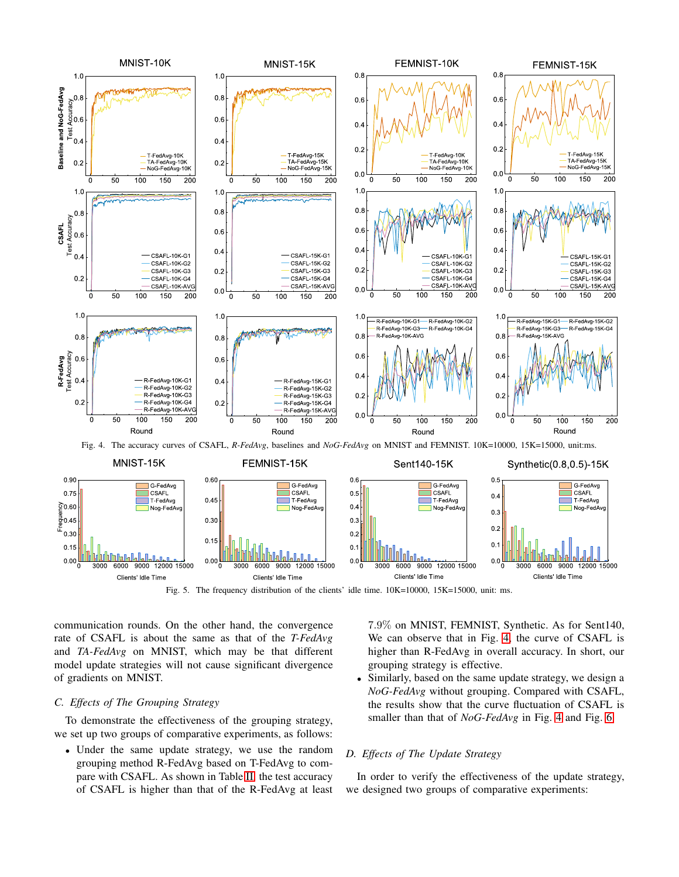

<span id="page-7-3"></span><span id="page-7-2"></span>

communication rounds. On the other hand, the convergence rate of CSAFL is about the same as that of the *T-FedAvg* and *TA-FedAvg* on MNIST, which may be that different model update strategies will not cause significant divergence of gradients on MNIST.

## <span id="page-7-0"></span>*C. Effects of The Grouping Strategy*

To demonstrate the effectiveness of the grouping strategy, we set up two groups of comparative experiments, as follows:

• Under the same update strategy, we use the random grouping method R-FedAvg based on T-FedAvg to compare with CSAFL. As shown in Table [II,](#page-8-2) the test accuracy of CSAFL is higher than that of the R-FedAvg at least

7.9% on MNIST, FEMNIST, Synthetic. As for Sent140, We can observe that in Fig. [4,](#page-7-2) the curve of CSAFL is higher than R-FedAvg in overall accuracy. In short, our grouping strategy is effective.

• Similarly, based on the same update strategy, we design a *NoG-FedAvg* without grouping. Compared with CSAFL, the results show that the curve fluctuation of CSAFL is smaller than that of *NoG-FedAvg* in Fig. [4](#page-7-2) and Fig. [6.](#page-8-3)

## <span id="page-7-1"></span>*D. Effects of The Update Strategy*

In order to verify the effectiveness of the update strategy, we designed two groups of comparative experiments: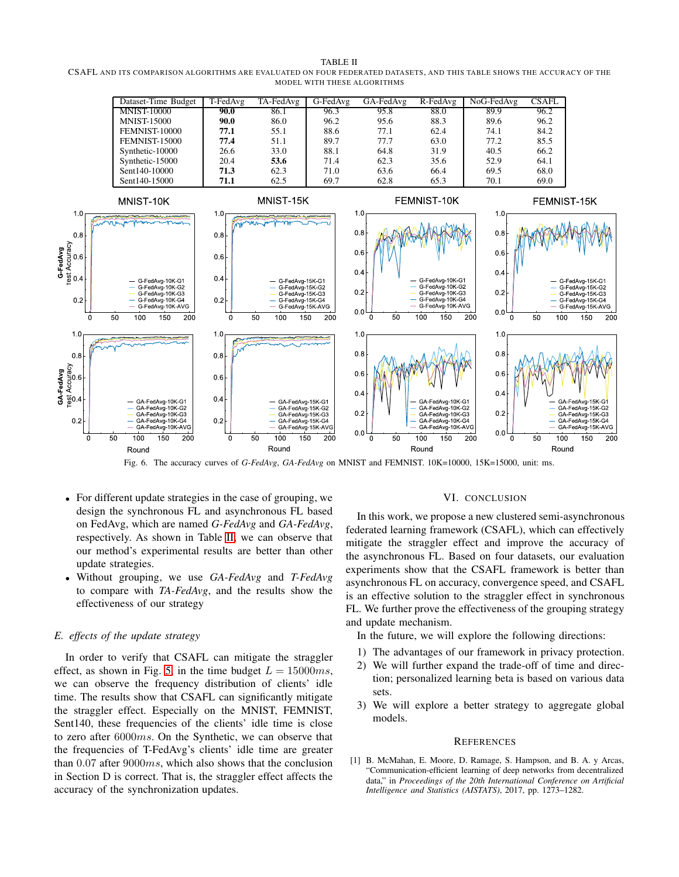<span id="page-8-2"></span>TABLE II CSAFL AND ITS COMPARISON ALGORITHMS ARE EVALUATED ON FOUR FEDERATED DATASETS, AND THIS TABLE SHOWS THE ACCURACY OF THE MODEL WITH THESE ALGORITHMS



<span id="page-8-3"></span>Fig. 6. The accuracy curves of *G-FedAvg*, *GA-FedAvg* on MNIST and FEMNIST. 10K=10000, 15K=15000, unit: ms.

- For different update strategies in the case of grouping, we design the synchronous FL and asynchronous FL based on FedAvg, which are named *G-FedAvg* and *GA-FedAvg*, respectively. As shown in Table [II,](#page-8-2) we can observe that our method's experimental results are better than other update strategies.
- Without grouping, we use *GA-FedAvg* and *T-FedAvg* to compare with *TA-FedAvg*, and the results show the effectiveness of our strategy

#### *E. effects of the update strategy*

In order to verify that CSAFL can mitigate the straggler effect, as shown in Fig. [5,](#page-7-3) in the time budget  $L = 15000ms$ , we can observe the frequency distribution of clients' idle time. The results show that CSAFL can significantly mitigate the straggler effect. Especially on the MNIST, FEMNIST, Sent140, these frequencies of the clients' idle time is close to zero after 6000ms. On the Synthetic, we can observe that the frequencies of T-FedAvg's clients' idle time are greater than  $0.07$  after  $9000ms$ , which also shows that the conclusion in Section D is correct. That is, the straggler effect affects the accuracy of the synchronization updates.

#### VI. CONCLUSION

<span id="page-8-1"></span>In this work, we propose a new clustered semi-asynchronous federated learning framework (CSAFL), which can effectively mitigate the straggler effect and improve the accuracy of the asynchronous FL. Based on four datasets, our evaluation experiments show that the CSAFL framework is better than asynchronous FL on accuracy, convergence speed, and CSAFL is an effective solution to the straggler effect in synchronous FL. We further prove the effectiveness of the grouping strategy and update mechanism.

In the future, we will explore the following directions:

- 1) The advantages of our framework in privacy protection.
- 2) We will further expand the trade-off of time and direction; personalized learning beta is based on various data sets.
- 3) We will explore a better strategy to aggregate global models.

#### **REFERENCES**

<span id="page-8-0"></span>[1] B. McMahan, E. Moore, D. Ramage, S. Hampson, and B. A. y Arcas, "Communication-efficient learning of deep networks from decentralized data," in *Proceedings of the 20th International Conference on Artificial Intelligence and Statistics (AISTATS)*, 2017, pp. 1273–1282.